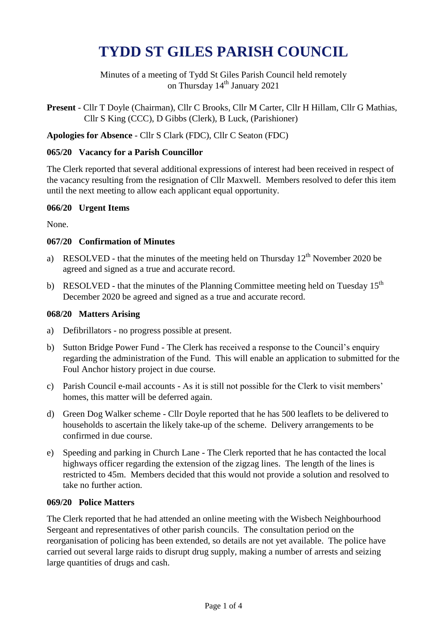# **TYDD ST GILES PARISH COUNCIL**

Minutes of a meeting of Tydd St Giles Parish Council held remotely on Thursday 14<sup>th</sup> January 2021

**Present** - Cllr T Doyle (Chairman), Cllr C Brooks, Cllr M Carter, Cllr H Hillam, Cllr G Mathias, Cllr S King (CCC), D Gibbs (Clerk), B Luck, (Parishioner)

**Apologies for Absence** - Cllr S Clark (FDC), Cllr C Seaton (FDC)

#### **065/20 Vacancy for a Parish Councillor**

The Clerk reported that several additional expressions of interest had been received in respect of the vacancy resulting from the resignation of Cllr Maxwell. Members resolved to defer this item until the next meeting to allow each applicant equal opportunity.

#### **066/20 Urgent Items**

None.

#### **067/20 Confirmation of Minutes**

- a) RESOLVED that the minutes of the meeting held on Thursday  $12<sup>th</sup>$  November 2020 be agreed and signed as a true and accurate record.
- b) RESOLVED that the minutes of the Planning Committee meeting held on Tuesday  $15<sup>th</sup>$ December 2020 be agreed and signed as a true and accurate record.

#### **068/20 Matters Arising**

- a) Defibrillators no progress possible at present.
- b) Sutton Bridge Power Fund The Clerk has received a response to the Council's enquiry regarding the administration of the Fund. This will enable an application to submitted for the Foul Anchor history project in due course.
- c) Parish Council e-mail accounts As it is still not possible for the Clerk to visit members' homes, this matter will be deferred again.
- d) Green Dog Walker scheme Cllr Doyle reported that he has 500 leaflets to be delivered to households to ascertain the likely take-up of the scheme. Delivery arrangements to be confirmed in due course.
- e) Speeding and parking in Church Lane The Clerk reported that he has contacted the local highways officer regarding the extension of the zigzag lines. The length of the lines is restricted to 45m. Members decided that this would not provide a solution and resolved to take no further action.

# **069/20 Police Matters**

The Clerk reported that he had attended an online meeting with the Wisbech Neighbourhood Sergeant and representatives of other parish councils. The consultation period on the reorganisation of policing has been extended, so details are not yet available. The police have carried out several large raids to disrupt drug supply, making a number of arrests and seizing large quantities of drugs and cash.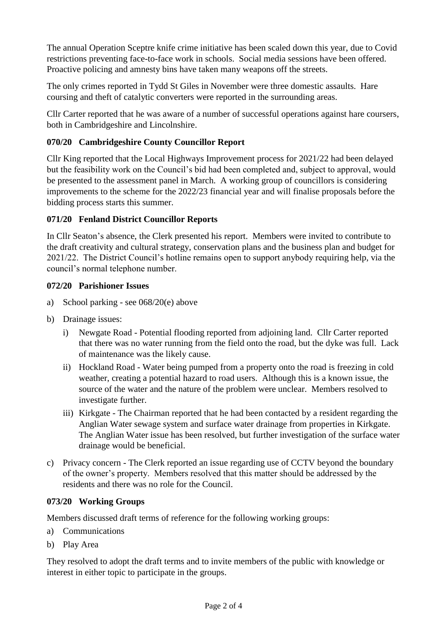The annual Operation Sceptre knife crime initiative has been scaled down this year, due to Covid restrictions preventing face-to-face work in schools. Social media sessions have been offered. Proactive policing and amnesty bins have taken many weapons off the streets.

The only crimes reported in Tydd St Giles in November were three domestic assaults. Hare coursing and theft of catalytic converters were reported in the surrounding areas.

Cllr Carter reported that he was aware of a number of successful operations against hare coursers, both in Cambridgeshire and Lincolnshire.

# **070/20 Cambridgeshire County Councillor Report**

Cllr King reported that the Local Highways Improvement process for 2021/22 had been delayed but the feasibility work on the Council's bid had been completed and, subject to approval, would be presented to the assessment panel in March. A working group of councillors is considering improvements to the scheme for the 2022/23 financial year and will finalise proposals before the bidding process starts this summer.

# **071/20 Fenland District Councillor Reports**

In Cllr Seaton's absence, the Clerk presented his report. Members were invited to contribute to the draft creativity and cultural strategy, conservation plans and the business plan and budget for 2021/22. The District Council's hotline remains open to support anybody requiring help, via the council's normal telephone number.

# **072/20 Parishioner Issues**

- a) School parking see 068/20(e) above
- b) Drainage issues:
	- i) Newgate Road Potential flooding reported from adjoining land. Cllr Carter reported that there was no water running from the field onto the road, but the dyke was full. Lack of maintenance was the likely cause.
	- ii) Hockland Road Water being pumped from a property onto the road is freezing in cold weather, creating a potential hazard to road users. Although this is a known issue, the source of the water and the nature of the problem were unclear. Members resolved to investigate further.
	- iii) Kirkgate The Chairman reported that he had been contacted by a resident regarding the Anglian Water sewage system and surface water drainage from properties in Kirkgate. The Anglian Water issue has been resolved, but further investigation of the surface water drainage would be beneficial.
- c) Privacy concern The Clerk reported an issue regarding use of CCTV beyond the boundary of the owner's property. Members resolved that this matter should be addressed by the residents and there was no role for the Council.

# **073/20 Working Groups**

Members discussed draft terms of reference for the following working groups:

- a) Communications
- b) Play Area

They resolved to adopt the draft terms and to invite members of the public with knowledge or interest in either topic to participate in the groups.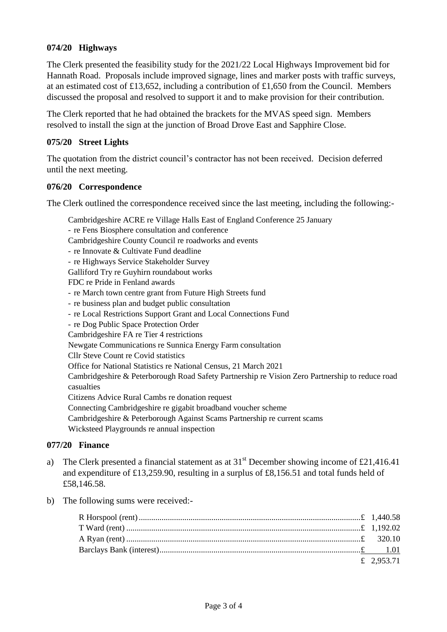# **074/20 Highways**

The Clerk presented the feasibility study for the 2021/22 Local Highways Improvement bid for Hannath Road. Proposals include improved signage, lines and marker posts with traffic surveys, at an estimated cost of £13,652, including a contribution of £1,650 from the Council. Members discussed the proposal and resolved to support it and to make provision for their contribution.

The Clerk reported that he had obtained the brackets for the MVAS speed sign. Members resolved to install the sign at the junction of Broad Drove East and Sapphire Close.

#### **075/20 Street Lights**

The quotation from the district council's contractor has not been received. Decision deferred until the next meeting.

#### **076/20 Correspondence**

The Clerk outlined the correspondence received since the last meeting, including the following:-

Cambridgeshire ACRE re Village Halls East of England Conference 25 January

- re Fens Biosphere consultation and conference Cambridgeshire County Council re roadworks and events - re Innovate & Cultivate Fund deadline - re Highways Service Stakeholder Survey Galliford Try re Guyhirn roundabout works FDC re Pride in Fenland awards - re March town centre grant from Future High Streets fund - re business plan and budget public consultation - re Local Restrictions Support Grant and Local Connections Fund - re Dog Public Space Protection Order Cambridgeshire FA re Tier 4 restrictions Newgate Communications re Sunnica Energy Farm consultation Cllr Steve Count re Covid statistics Office for National Statistics re National Census, 21 March 2021 Cambridgeshire & Peterborough Road Safety Partnership re Vision Zero Partnership to reduce road casualties Citizens Advice Rural Cambs re donation request Connecting Cambridgeshire re gigabit broadband voucher scheme Cambridgeshire & Peterborough Against Scams Partnership re current scams Wicksteed Playgrounds re annual inspection

# **077/20 Finance**

- a) The Clerk presented a financial statement as at  $31<sup>st</sup>$  December showing income of £21,416.41 and expenditure of £13,259.90, resulting in a surplus of £8,156.51 and total funds held of £58,146.58.
- b) The following sums were received:-

| £ 2,953.71 |
|------------|